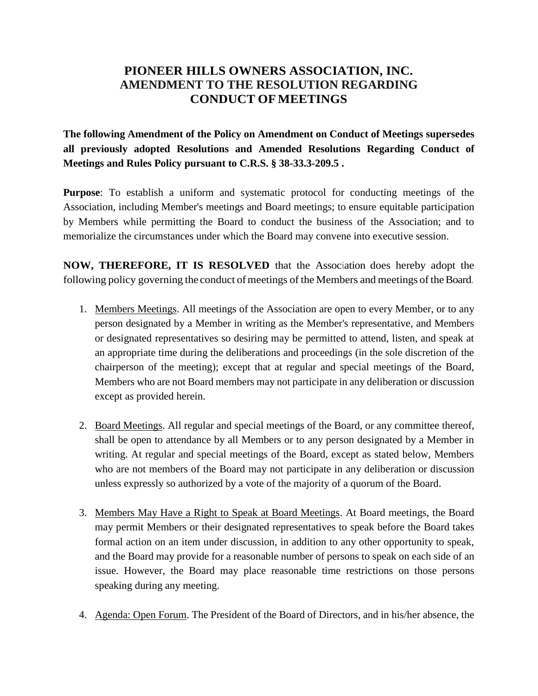## **PIONEER HILLS OWNERS ASSOCIATION, INC. AMENDMENT TO THE RESOLUTION REGARDING CONDUCT OFMEETINGS**

**The following Amendment of the Policy on Amendment on Conduct of Meetings supersedes all previously adopted Resolutions and Amended Resolutions Regarding Conduct of Meetings and Rules Policy pursuant to C.R.S. § 38-33.3-209.5 .**

**Purpose**: To establish a uniform and systematic protocol for conducting meetings of the Association, including Member's meetings and Board meetings; to ensure equitable participation by Members while permitting the Board to conduct the business of the Association; and to memorialize the circumstances under which the Board may convene into executive session.

**NOW, THEREFORE, IT IS RESOLVED** that the Association does hereby adopt the following policy governing the conduct of meetings of the Members and meetings of the Board.

- 1. Members Meetings. All meetings of the Association are open to every Member, or to any person designated by a Member in writing as the Member's representative, and Members or designated representatives so desiring may be permitted to attend, listen, and speak at an appropriate time during the deliberations and proceedings (in the sole discretion of the chairperson of the meeting); except that at regular and special meetings of the Board, Members who are not Board members may not participate in any deliberation or discussion except as provided herein.
- 2. Board Meetings. All regular and special meetings of the Board, or any committee thereof, shall be open to attendance by all Members or to any person designated by a Member in writing. At regular and special meetings of the Board, except as stated below, Members who are not members of the Board may not participate in any deliberation or discussion unless expressly so authorized by a vote of the majority of a quorum of the Board.
- 3. Members May Have a Right to Speak at Board Meetings. At Board meetings, the Board may permit Members or their designated representatives to speak before the Board takes formal action on an item under discussion, in addition to any other opportunity to speak, and the Board may provide for a reasonable number of persons to speak on each side of an issue. However, the Board may place reasonable time restrictions on those persons speaking during any meeting.
- 4. Agenda: Open Forum. The President of the Board of Directors, and in his/her absence, the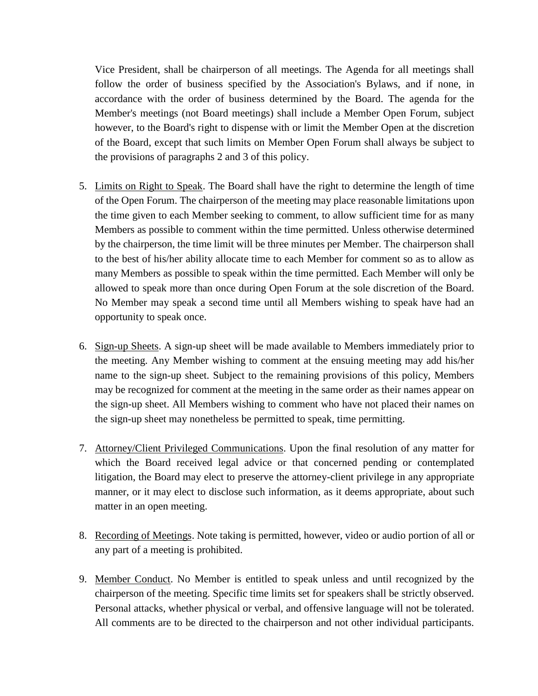Vice President, shall be chairperson of all meetings. The Agenda for all meetings shall follow the order of business specified by the Association's Bylaws, and if none, in accordance with the order of business determined by the Board. The agenda for the Member's meetings (not Board meetings) shall include a Member Open Forum, subject however, to the Board's right to dispense with or limit the Member Open at the discretion of the Board, except that such limits on Member Open Forum shall always be subject to the provisions of paragraphs 2 and 3 of this policy.

- 5. Limits on Right to Speak. The Board shall have the right to determine the length of time of the Open Forum. The chairperson of the meeting may place reasonable limitations upon the time given to each Member seeking to comment, to allow sufficient time for as many Members as possible to comment within the time permitted. Unless otherwise determined by the chairperson, the time limit will be three minutes per Member. The chairperson shall to the best of his/her ability allocate time to each Member for comment so as to allow as many Members as possible to speak within the time permitted. Each Member will only be allowed to speak more than once during Open Forum at the sole discretion of the Board. No Member may speak a second time until all Members wishing to speak have had an opportunity to speak once.
- 6. Sign-up Sheets. A sign-up sheet will be made available to Members immediately prior to the meeting. Any Member wishing to comment at the ensuing meeting may add his/her name to the sign-up sheet. Subject to the remaining provisions of this policy, Members may be recognized for comment at the meeting in the same order as their names appear on the sign-up sheet. All Members wishing to comment who have not placed their names on the sign-up sheet may nonetheless be permitted to speak, time permitting.
- 7. Attorney/Client Privileged Communications. Upon the final resolution of any matter for which the Board received legal advice or that concerned pending or contemplated litigation, the Board may elect to preserve the attorney-client privilege in any appropriate manner, or it may elect to disclose such information, as it deems appropriate, about such matter in an open meeting.
- 8. Recording of Meetings. Note taking is permitted, however, video or audio portion of all or any part of a meeting is prohibited.
- 9. Member Conduct. No Member is entitled to speak unless and until recognized by the chairperson of the meeting. Specific time limits set for speakers shall be strictly observed. Personal attacks, whether physical or verbal, and offensive language will not be tolerated. All comments are to be directed to the chairperson and not other individual participants.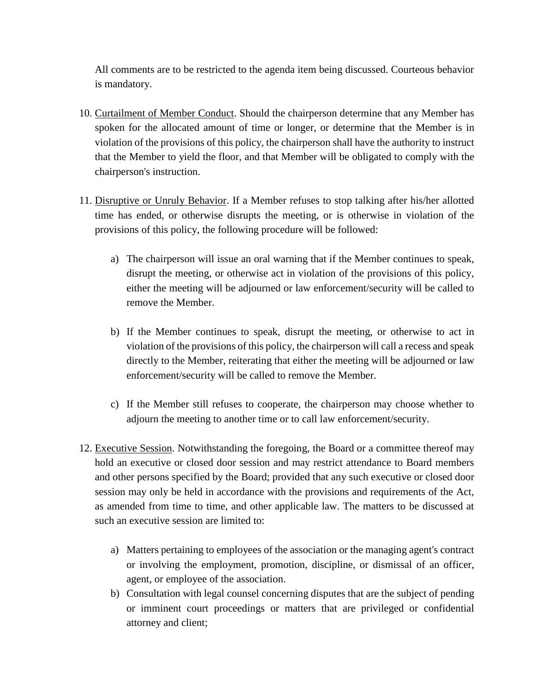All comments are to be restricted to the agenda item being discussed. Courteous behavior is mandatory.

- 10. Curtailment of Member Conduct. Should the chairperson determine that any Member has spoken for the allocated amount of time or longer, or determine that the Member is in violation of the provisions of this policy, the chairperson shall have the authority to instruct that the Member to yield the floor, and that Member will be obligated to comply with the chairperson's instruction.
- 11. Disruptive or Unruly Behavior. If a Member refuses to stop talking after his/her allotted time has ended, or otherwise disrupts the meeting, or is otherwise in violation of the provisions of this policy, the following procedure will be followed:
	- a) The chairperson will issue an oral warning that if the Member continues to speak, disrupt the meeting, or otherwise act in violation of the provisions of this policy, either the meeting will be adjourned or law enforcement/security will be called to remove the Member.
	- b) If the Member continues to speak, disrupt the meeting, or otherwise to act in violation of the provisions of this policy, the chairperson will call a recess and speak directly to the Member, reiterating that either the meeting will be adjourned or law enforcement/security will be called to remove the Member.
	- c) If the Member still refuses to cooperate, the chairperson may choose whether to adjourn the meeting to another time or to call law enforcement/security.
- 12. Executive Session. Notwithstanding the foregoing, the Board or a committee thereof may hold an executive or closed door session and may restrict attendance to Board members and other persons specified by the Board; provided that any such executive or closed door session may only be held in accordance with the provisions and requirements of the Act, as amended from time to time, and other applicable law. The matters to be discussed at such an executive session are limited to:
	- a) Matters pertaining to employees of the association or the managing agent's contract or involving the employment, promotion, discipline, or dismissal of an officer, agent, or employee of the association.
	- b) Consultation with legal counsel concerning disputes that are the subject of pending or imminent court proceedings or matters that are privileged or confidential attorney and client;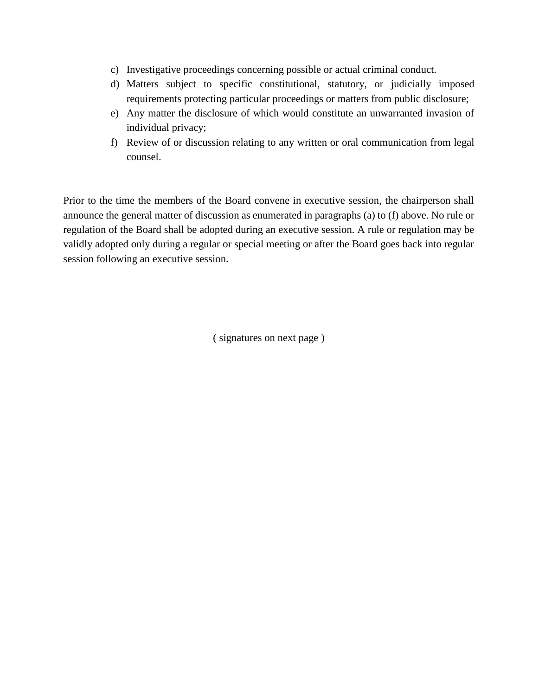- c) Investigative proceedings concerning possible or actual criminal conduct.
- d) Matters subject to specific constitutional, statutory, or judicially imposed requirements protecting particular proceedings or matters from public disclosure;
- e) Any matter the disclosure of which would constitute an unwarranted invasion of individual privacy;
- f) Review of or discussion relating to any written or oral communication from legal counsel.

Prior to the time the members of the Board convene in executive session, the chairperson shall announce the general matter of discussion as enumerated in paragraphs (a) to (f) above. No rule or regulation of the Board shall be adopted during an executive session. A rule or regulation may be validly adopted only during a regular or special meeting or after the Board goes back into regular session following an executive session.

( signatures on next page )